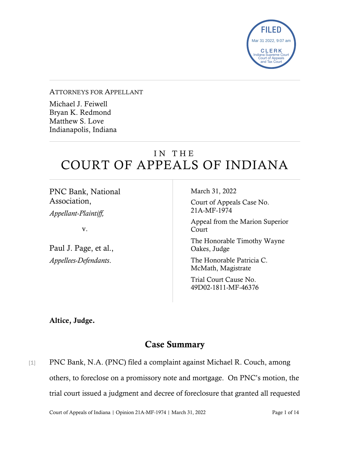

ATTORNEYS FOR APPELLANT

Michael J. Feiwell Bryan K. Redmond Matthew S. Love Indianapolis, Indiana

## IN THE COURT OF APPEALS OF INDIANA

PNC Bank, National Association, *Appellant-Plaintiff,* 

v.

Paul J. Page, et al., *Appellees-Defendants*.

March 31, 2022

Court of Appeals Case No. 21A-MF-1974

Appeal from the Marion Superior Court

The Honorable Timothy Wayne Oakes, Judge

The Honorable Patricia C. McMath, Magistrate

Trial Court Cause No. 49D02-1811-MF-46376

Altice, Judge.

## Case Summary

[1] PNC Bank, N.A. (PNC) filed a complaint against Michael R. Couch, among others, to foreclose on a promissory note and mortgage. On PNC's motion, the trial court issued a judgment and decree of foreclosure that granted all requested

Court of Appeals of Indiana | Opinion 21A-MF-1974 | March 31, 2022 Page 1 of 14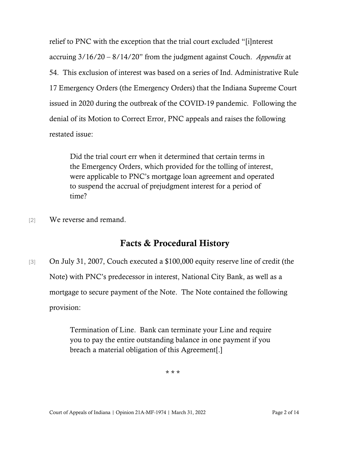relief to PNC with the exception that the trial court excluded "[i]nterest accruing 3/16/20 – 8/14/20" from the judgment against Couch. *Appendix* at 54. This exclusion of interest was based on a series of Ind. Administrative Rule 17 Emergency Orders (the Emergency Orders) that the Indiana Supreme Court issued in 2020 during the outbreak of the COVID-19 pandemic. Following the denial of its Motion to Correct Error, PNC appeals and raises the following restated issue:

Did the trial court err when it determined that certain terms in the Emergency Orders, which provided for the tolling of interest, were applicable to PNC's mortgage loan agreement and operated to suspend the accrual of prejudgment interest for a period of time?

[2] We reverse and remand.

## Facts & Procedural History

[3] On July 31, 2007, Couch executed a \$100,000 equity reserve line of credit (the Note) with PNC's predecessor in interest, National City Bank, as well as a mortgage to secure payment of the Note. The Note contained the following provision:

> Termination of Line. Bank can terminate your Line and require you to pay the entire outstanding balance in one payment if you breach a material obligation of this Agreement[.]

> > \* \* \*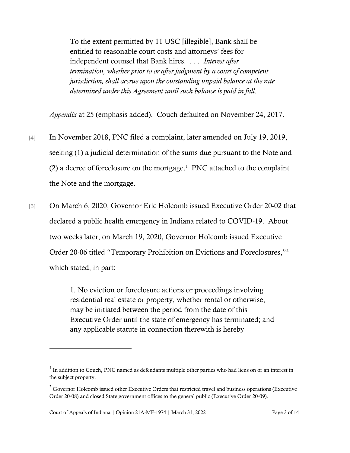To the extent permitted by 11 USC [illegible], Bank shall be entitled to reasonable court costs and attorneys' fees for independent counsel that Bank hires. . . . *Interest after termination, whether prior to or after judgment by a court of competent jurisdiction, shall accrue upon the outstanding unpaid balance at the rate determined under this Agreement until such balance is paid in full*.

*Appendix* at 25 (emphasis added). Couch defaulted on November 24, 2017.

- [4] In November 2018, PNC filed a complaint, later amended on July 19, 2019, seeking (1) a judicial determination of the sums due pursuant to the Note and (2) a decree of foreclosure on the mortgage.<sup>[1](#page-2-0)</sup> PNC attached to the complaint the Note and the mortgage.
- [5] On March 6, 2020, Governor Eric Holcomb issued Executive Order 20-02 that declared a public health emergency in Indiana related to COVID-19. About two weeks later, on March 19, 2020, Governor Holcomb issued Executive Order 20-06 titled "Temporary Prohibition on Evictions and Foreclosures,"[2](#page-2-1) which stated, in part:

1. No eviction or foreclosure actions or proceedings involving residential real estate or property, whether rental or otherwise, may be initiated between the period from the date of this Executive Order until the state of emergency has terminated; and any applicable statute in connection therewith is hereby

<span id="page-2-0"></span> $1$  In addition to Couch, PNC named as defendants multiple other parties who had liens on or an interest in the subject property.

<span id="page-2-1"></span> $2$  Governor Holcomb issued other Executive Orders that restricted travel and business operations (Executive Order 20-08) and closed State government offices to the general public (Executive Order 20-09).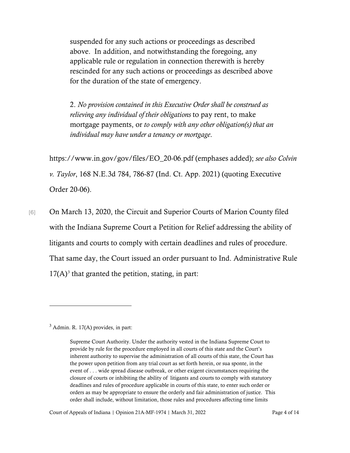suspended for any such actions or proceedings as described above. In addition, and notwithstanding the foregoing, any applicable rule or regulation in connection therewith is hereby rescinded for any such actions or proceedings as described above for the duration of the state of emergency.

2. *No provision contained in this Executive Order shall be construed as relieving any individual of their obligations* to pay rent, to make mortgage payments, or *to comply with any other obligation(s) that an individual may have under a tenancy or mortgage*.

https://www.in.gov/gov/files/EO\_20-06.pdf (emphases added); *see also Colvin v. Taylor*, 168 N.E.3d 784, 786-87 (Ind. Ct. App. 2021) (quoting Executive Order 20-06).

[6] On March 13, 2020, the Circuit and Superior Courts of Marion County filed with the Indiana Supreme Court a Petition for Relief addressing the ability of litigants and courts to comply with certain deadlines and rules of procedure. That same day, the Court issued an order pursuant to Ind. Administrative Rule  $17(A)^3$  $17(A)^3$  that granted the petition, stating, in part:

<span id="page-3-0"></span> $3$  Admin. R. 17(A) provides, in part:

Supreme Court Authority. Under the authority vested in the Indiana Supreme Court to provide by rule for the procedure employed in all courts of this state and the Court's inherent authority to supervise the administration of all courts of this state, the Court has the power upon petition from any trial court as set forth herein, or sua sponte, in the event of . . . wide spread disease outbreak, or other exigent circumstances requiring the closure of courts or inhibiting the ability of litigants and courts to comply with statutory deadlines and rules of procedure applicable in courts of this state, to enter such order or orders as may be appropriate to ensure the orderly and fair administration of justice. This order shall include, without limitation, those rules and procedures affecting time limits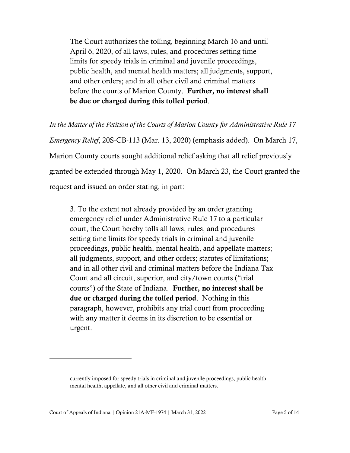The Court authorizes the tolling, beginning March 16 and until April 6, 2020, of all laws, rules, and procedures setting time limits for speedy trials in criminal and juvenile proceedings, public health, and mental health matters; all judgments, support, and other orders; and in all other civil and criminal matters before the courts of Marion County. Further, no interest shall be due or charged during this tolled period.

*In the Matter of the Petition of the Courts of Marion County for Administrative Rule 17* 

*Emergency Relief*, 20S-CB-113 (Mar. 13, 2020) (emphasis added). On March 17, Marion County courts sought additional relief asking that all relief previously granted be extended through May 1, 2020. On March 23, the Court granted the request and issued an order stating, in part:

3. To the extent not already provided by an order granting emergency relief under Administrative Rule 17 to a particular court, the Court hereby tolls all laws, rules, and procedures setting time limits for speedy trials in criminal and juvenile proceedings, public health, mental health, and appellate matters; all judgments, support, and other orders; statutes of limitations; and in all other civil and criminal matters before the Indiana Tax Court and all circuit, superior, and city/town courts ("trial courts") of the State of Indiana. Further, no interest shall be due or charged during the tolled period. Nothing in this paragraph, however, prohibits any trial court from proceeding with any matter it deems in its discretion to be essential or urgent.

currently imposed for speedy trials in criminal and juvenile proceedings, public health, mental health, appellate, and all other civil and criminal matters.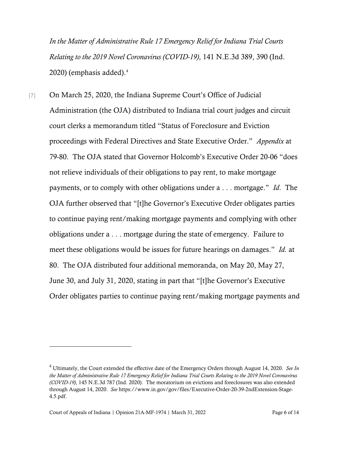*In the Matter of Administrative Rule 17 Emergency Relief for Indiana Trial Courts Relating to the 2019 Novel Coronavirus (COVID-19)*, 141 N.E.3d 389, 390 (Ind. 2020) (emphasis added). $4$ 

[7] On March 25, 2020, the Indiana Supreme Court's Office of Judicial Administration (the OJA) distributed to Indiana trial court judges and circuit court clerks a memorandum titled "Status of Foreclosure and Eviction proceedings with Federal Directives and State Executive Order." *Appendix* at 79-80. The OJA stated that Governor Holcomb's Executive Order 20-06 "does not relieve individuals of their obligations to pay rent, to make mortgage payments, or to comply with other obligations under a . . . mortgage." *Id*. The OJA further observed that "[t]he Governor's Executive Order obligates parties to continue paying rent/making mortgage payments and complying with other obligations under a . . . mortgage during the state of emergency. Failure to meet these obligations would be issues for future hearings on damages." *Id.* at 80. The OJA distributed four additional memoranda, on May 20, May 27, June 30, and July 31, 2020, stating in part that "[t]he Governor's Executive Order obligates parties to continue paying rent/making mortgage payments and

<span id="page-5-0"></span><sup>4</sup> Ultimately, the Court extended the effective date of the Emergency Orders through August 14, 2020. *See In the Matter of Administrative Rule 17 Emergency Relief for Indiana Trial Courts Relating to the 2019 Novel Coronavirus (COVID-19)*, 145 N.E.3d 787 (Ind. 2020). The moratorium on evictions and foreclosures was also extended through August 14, 2020. *See* https://www.in.gov/gov/files/Executive-Order-20-39-2ndExtension-Stage-4.5.pdf.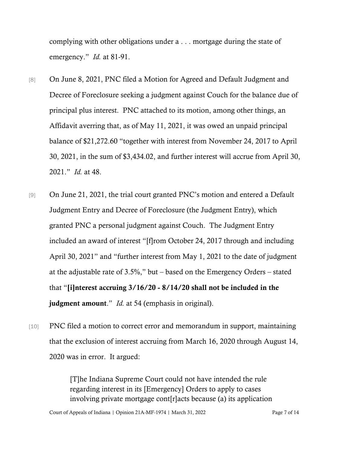complying with other obligations under a . . . mortgage during the state of emergency." *Id.* at 81-91.

- [8] On June 8, 2021, PNC filed a Motion for Agreed and Default Judgment and Decree of Foreclosure seeking a judgment against Couch for the balance due of principal plus interest. PNC attached to its motion, among other things, an Affidavit averring that, as of May 11, 2021, it was owed an unpaid principal balance of \$21,272.60 "together with interest from November 24, 2017 to April 30, 2021, in the sum of \$3,434.02, and further interest will accrue from April 30, 2021." *Id.* at 48.
- [9] On June 21, 2021, the trial court granted PNC's motion and entered a Default Judgment Entry and Decree of Foreclosure (the Judgment Entry), which granted PNC a personal judgment against Couch. The Judgment Entry included an award of interest "[f]rom October 24, 2017 through and including April 30, 2021" and "further interest from May 1, 2021 to the date of judgment at the adjustable rate of 3.5%," but – based on the Emergency Orders – stated that "[i]nterest accruing 3/16/20 - 8/14/20 shall not be included in the judgment amount." *Id.* at 54 (emphasis in original).
- [10] PNC filed a motion to correct error and memorandum in support, maintaining that the exclusion of interest accruing from March 16, 2020 through August 14, 2020 was in error. It argued:

[T]he Indiana Supreme Court could not have intended the rule regarding interest in its [Emergency] Orders to apply to cases involving private mortgage cont[r]acts because (a) its application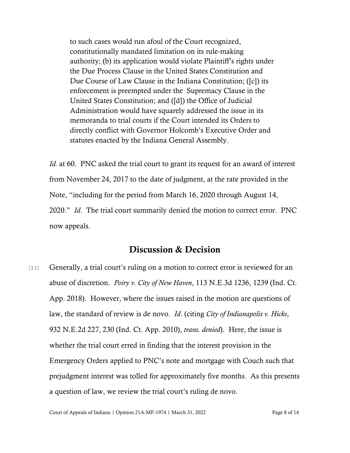to such cases would run afoul of the Court recognized, constitutionally mandated limitation on its rule-making authority; (b) its application would violate Plaintiff's rights under the Due Process Clause in the United States Constitution and Due Course of Law Clause in the Indiana Constitution; ([c]) its enforcement is preempted under the Supremacy Clause in the United States Constitution; and ([d]) the Office of Judicial Administration would have squarely addressed the issue in its memoranda to trial courts if the Court intended its Orders to directly conflict with Governor Holcomb's Executive Order and statutes enacted by the Indiana General Assembly.

*Id.* at 60. PNC asked the trial court to grant its request for an award of interest from November 24, 2017 to the date of judgment, at the rate provided in the Note, "including for the period from March 16, 2020 through August 14, 2020." *Id*. The trial court summarily denied the motion to correct error. PNC now appeals.

## Discussion & Decision

[11] Generally, a trial court's ruling on a motion to correct error is reviewed for an abuse of discretion. *Poiry v. City of New Haven*, 113 N.E.3d 1236, 1239 (Ind. Ct. App. 2018). However, where the issues raised in the motion are questions of law, the standard of review is de novo. *Id*. (citing *City of Indianapolis v. Hicks*, 932 N.E.2d 227, 230 (Ind. Ct. App. 2010), *trans. denied*). Here, the issue is whether the trial court erred in finding that the interest provision in the Emergency Orders applied to PNC's note and mortgage with Couch such that prejudgment interest was tolled for approximately five months. As this presents a question of law, we review the trial court's ruling de novo.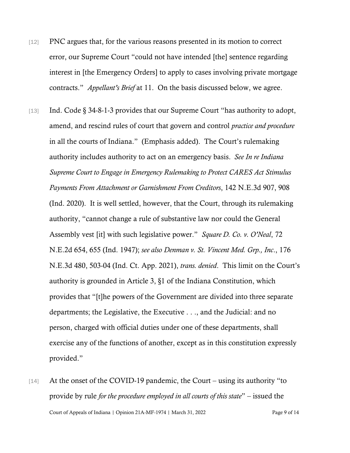- [12] PNC argues that, for the various reasons presented in its motion to correct error, our Supreme Court "could not have intended [the] sentence regarding interest in [the Emergency Orders] to apply to cases involving private mortgage contracts." *Appellant's Brief* at 11. On the basis discussed below, we agree.
- [13] Ind. Code § 34-8-1-3 provides that our Supreme Court "has authority to adopt, amend, and rescind rules of court that govern and control *practice and procedure* in all the courts of Indiana." (Emphasis added). The Court's rulemaking authority includes authority to act on an emergency basis. *See In re Indiana Supreme Court to Engage in Emergency Rulemaking to Protect CARES Act Stimulus Payments From Attachment or Garnishment From Creditors*, 142 N.E.3d 907, 908 (Ind. 2020). It is well settled, however, that the Court, through its rulemaking authority, "cannot change a rule of substantive law nor could the General Assembly vest [it] with such legislative power." *Square D. Co. v. O'Neal*, 72 N.E.2d 654, 655 (Ind. 1947); *see also Denman v. St. Vincent Med. Grp., Inc*., 176 N.E.3d 480, 503-04 (Ind. Ct. App. 2021), *trans. denied*. This limit on the Court's authority is grounded in Article 3, §1 of the Indiana Constitution, which provides that "[t]he powers of the Government are divided into three separate departments; the Legislative, the Executive . . ., and the Judicial: and no person, charged with official duties under one of these departments, shall exercise any of the functions of another, except as in this constitution expressly provided."
- Court of Appeals of Indiana | Opinion 21A-MF-1974 | March 31, 2022 Page 9 of 14 [14] At the onset of the COVID-19 pandemic, the Court – using its authority "to provide by rule *for the procedure employed in all courts of this state*" – issued the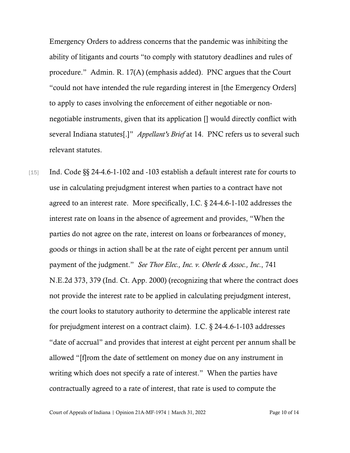Emergency Orders to address concerns that the pandemic was inhibiting the ability of litigants and courts "to comply with statutory deadlines and rules of procedure." Admin. R. 17(A) (emphasis added). PNC argues that the Court "could not have intended the rule regarding interest in [the Emergency Orders] to apply to cases involving the enforcement of either negotiable or nonnegotiable instruments, given that its application [] would directly conflict with several Indiana statutes[.]" *Appellant's Brief* at 14. PNC refers us to several such relevant statutes.

[15] Ind. Code §§ 24-4.6-1-102 and -103 establish a default interest rate for courts to use in calculating prejudgment interest when parties to a contract have not agreed to an interest rate. More specifically, I.C. § 24-4.6-1-102 addresses the interest rate on loans in the absence of agreement and provides, "When the parties do not agree on the rate, interest on loans or forbearances of money, goods or things in action shall be at the rate of eight percent per annum until payment of the judgment." *See Thor Elec., Inc. v. Oberle & Assoc., Inc*., 741 N.E.2d 373, 379 (Ind. Ct. App. 2000) (recognizing that where the contract does not provide the interest rate to be applied in calculating prejudgment interest, the court looks to statutory authority to determine the applicable interest rate for prejudgment interest on a contract claim). I.C. § 24-4.6-1-103 addresses "date of accrual" and provides that interest at eight percent per annum shall be allowed "[f]rom the date of settlement on money due on any instrument in writing which does not specify a rate of interest." When the parties have contractually agreed to a rate of interest, that rate is used to compute the

Court of Appeals of Indiana | Opinion 21A-MF-1974 | March 31, 2022 Page 10 of 14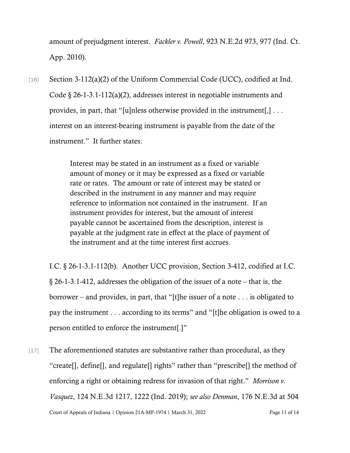amount of prejudgment interest. *Fackler v. Powell*, 923 N.E.2d 973, 977 (Ind. Ct. App. 2010).

[16] Section 3-112(a)(2) of the Uniform Commercial Code (UCC), codified at Ind. Code § 26-1-3.1-112(a)(2), addresses interest in negotiable instruments and provides, in part, that "[u]nless otherwise provided in the instrument[,] . . . interest on an interest-bearing instrument is payable from the date of the instrument." It further states:

> Interest may be stated in an instrument as a fixed or variable amount of money or it may be expressed as a fixed or variable rate or rates. The amount or rate of interest may be stated or described in the instrument in any manner and may require reference to information not contained in the instrument. If an instrument provides for interest, but the amount of interest payable cannot be ascertained from the description, interest is payable at the judgment rate in effect at the place of payment of the instrument and at the time interest first accrues.

I.C. § 26-1-3.1-112(b). Another UCC provision, Section 3-412, codified at I.C. § 26-1-3.1-412, addresses the obligation of the issuer of a note – that is, the borrower – and provides, in part, that "[t]he issuer of a note . . . is obligated to pay the instrument . . . according to its terms" and "[t]he obligation is owed to a person entitled to enforce the instrument[.]"

Court of Appeals of Indiana | Opinion 21A-MF-1974 | March 31, 2022 Page 11 of 14 [17] The aforementioned statutes are substantive rather than procedural, as they "create[], define[], and regulate[] rights" rather than "prescribe[] the method of enforcing a right or obtaining redress for invasion of that right." *Morrison v. Vasquez*, 124 N.E.3d 1217, 1222 (Ind. 2019); *see also Denman*, 176 N.E.3d at 504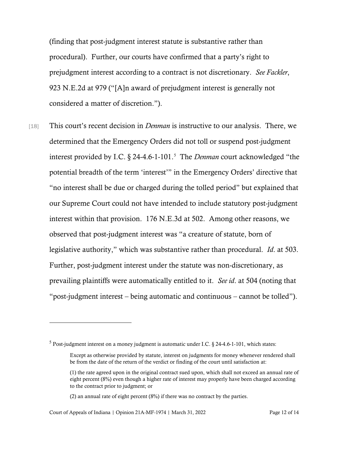(finding that post-judgment interest statute is substantive rather than procedural). Further, our courts have confirmed that a party's right to prejudgment interest according to a contract is not discretionary. *See Fackler*, 923 N.E.2d at 979 ("[A]n award of prejudgment interest is generally not considered a matter of discretion.").

[18] This court's recent decision in *Denman* is instructive to our analysis. There, we determined that the Emergency Orders did not toll or suspend post-judgment interest provided by I.C. § 24-4.6-1-101. [5](#page-11-0) The *Denman* court acknowledged "the potential breadth of the term 'interest'" in the Emergency Orders' directive that "no interest shall be due or charged during the tolled period" but explained that our Supreme Court could not have intended to include statutory post-judgment interest within that provision. 176 N.E.3d at 502. Among other reasons, we observed that post-judgment interest was "a creature of statute, born of legislative authority," which was substantive rather than procedural. *Id*. at 503. Further, post-judgment interest under the statute was non-discretionary, as prevailing plaintiffs were automatically entitled to it. *See id*. at 504 (noting that "post-judgment interest – being automatic and continuous – cannot be tolled").

<span id="page-11-0"></span><sup>&</sup>lt;sup>5</sup> Post-judgment interest on a money judgment is automatic under I.C.  $\S$  24-4.6-1-101, which states:

Except as otherwise provided by statute, interest on judgments for money whenever rendered shall be from the date of the return of the verdict or finding of the court until satisfaction at:

<sup>(1)</sup> the rate agreed upon in the original contract sued upon, which shall not exceed an annual rate of eight percent (8%) even though a higher rate of interest may properly have been charged according to the contract prior to judgment; or

<sup>(2)</sup> an annual rate of eight percent (8%) if there was no contract by the parties.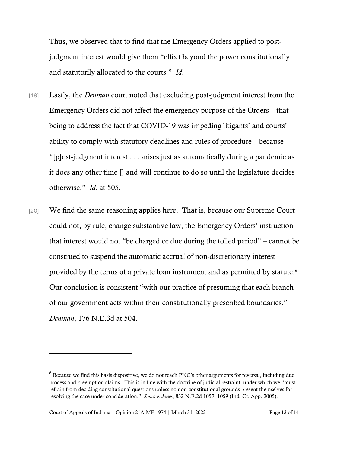Thus, we observed that to find that the Emergency Orders applied to postjudgment interest would give them "effect beyond the power constitutionally and statutorily allocated to the courts." *Id*.

- [19] Lastly, the *Denman* court noted that excluding post-judgment interest from the Emergency Orders did not affect the emergency purpose of the Orders – that being to address the fact that COVID-19 was impeding litigants' and courts' ability to comply with statutory deadlines and rules of procedure – because "[p]ost-judgment interest . . . arises just as automatically during a pandemic as it does any other time [] and will continue to do so until the legislature decides otherwise." *Id*. at 505.
- [20] We find the same reasoning applies here. That is, because our Supreme Court could not, by rule, change substantive law, the Emergency Orders' instruction – that interest would not "be charged or due during the tolled period" – cannot be construed to suspend the automatic accrual of non-discretionary interest provided by the terms of a private loan instrument and as permitted by statute.<sup>[6](#page-12-0)</sup> Our conclusion is consistent "with our practice of presuming that each branch of our government acts within their constitutionally prescribed boundaries." *Denman*, 176 N.E.3d at 504.

<span id="page-12-0"></span><sup>6</sup> Because we find this basis dispositive, we do not reach PNC's other arguments for reversal, including due process and preemption claims. This is in line with the doctrine of judicial restraint, under which we "must refrain from deciding constitutional questions unless no non-constitutional grounds present themselves for resolving the case under consideration." *Jones v. Jones*, 832 N.E.2d 1057, 1059 (Ind. Ct. App. 2005).

Court of Appeals of Indiana | Opinion 21A-MF-1974 | March 31, 2022 Page 13 of 14